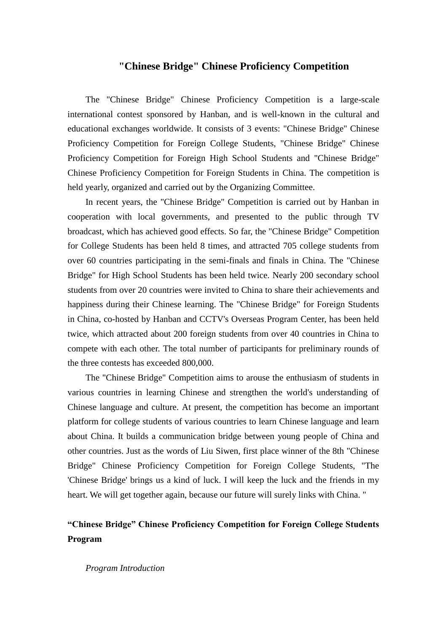## **"Chinese Bridge" Chinese Proficiency Competition**

The "Chinese Bridge" Chinese Proficiency Competition is a large-scale international contest sponsored by Hanban, and is well-known in the cultural and educational exchanges worldwide. It consists of 3 events: "Chinese Bridge" Chinese Proficiency Competition for Foreign College Students, "Chinese Bridge" Chinese Proficiency Competition for Foreign High School Students and "Chinese Bridge" Chinese Proficiency Competition for Foreign Students in China. The competition is held yearly, organized and carried out by the Organizing Committee.

In recent years, the "Chinese Bridge" Competition is carried out by Hanban in cooperation with local governments, and presented to the public through TV broadcast, which has achieved good effects. So far, the "Chinese Bridge" Competition for College Students has been held 8 times, and attracted 705 college students from over 60 countries participating in the semi-finals and finals in China. The "Chinese Bridge" for High School Students has been held twice. Nearly 200 secondary school students from over 20 countries were invited to China to share their achievements and happiness during their Chinese learning. The "Chinese Bridge" for Foreign Students in China, co-hosted by Hanban and CCTV's Overseas Program Center, has been held twice, which attracted about 200 foreign students from over 40 countries in China to compete with each other. The total number of participants for preliminary rounds of the three contests has exceeded 800,000.

The "Chinese Bridge" Competition aims to arouse the enthusiasm of students in various countries in learning Chinese and strengthen the world's understanding of Chinese language and culture. At present, the competition has become an important platform for college students of various countries to learn Chinese language and learn about China. It builds a communication bridge between young people of China and other countries. Just as the words of Liu Siwen, first place winner of the 8th "Chinese Bridge" Chinese Proficiency Competition for Foreign College Students, "The 'Chinese Bridge' brings us a kind of luck. I will keep the luck and the friends in my heart. We will get together again, because our future will surely links with China. "

# **"Chinese Bridge" Chinese Proficiency Competition for Foreign College Students Program**

#### *Program Introduction*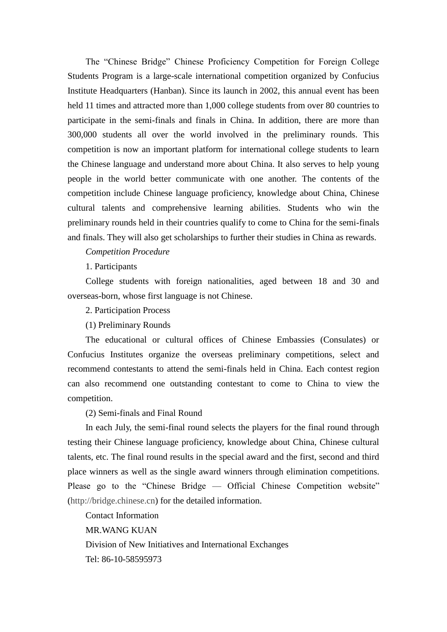The "Chinese Bridge" Chinese Proficiency Competition for Foreign College Students Program is a large-scale international competition organized by Confucius Institute Headquarters (Hanban). Since its launch in 2002, this annual event has been held 11 times and attracted more than 1,000 college students from over 80 countries to participate in the semi-finals and finals in China. In addition, there are more than 300,000 students all over the world involved in the preliminary rounds. This competition is now an important platform for international college students to learn the Chinese language and understand more about China. It also serves to help young people in the world better communicate with one another. The contents of the competition include Chinese language proficiency, knowledge about China, Chinese cultural talents and comprehensive learning abilities. Students who win the preliminary rounds held in their countries qualify to come to China for the semi-finals and finals. They will also get scholarships to further their studies in China as rewards.

### *Competition Procedure*

1. Participants

College students with foreign nationalities, aged between 18 and 30 and overseas-born, whose first language is not Chinese.

2. Participation Process

(1) Preliminary Rounds

The educational or cultural offices of Chinese Embassies (Consulates) or Confucius Institutes organize the overseas preliminary competitions, select and recommend contestants to attend the semi-finals held in China. Each contest region can also recommend one outstanding contestant to come to China to view the competition.

(2) Semi-finals and Final Round

In each July, the semi-final round selects the players for the final round through testing their Chinese language proficiency, knowledge about China, Chinese cultural talents, etc. The final round results in the special award and the first, second and third place winners as well as the single award winners through elimination competitions. Please go to the "Chinese Bridge — Official Chinese Competition website" [\(http://bridge.chinese.cn\)](http://bridge.chinese.cn/) for the detailed information.

Contact Information

MR.WANG KUAN

Division of New Initiatives and International Exchanges Tel: 86-10-58595973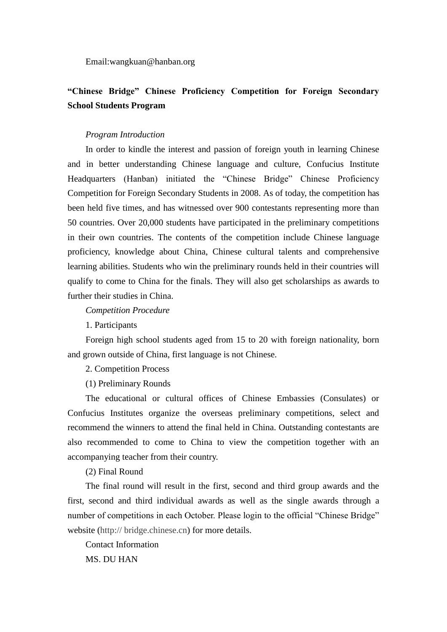Email:wangkuan@hanban.org

# **"Chinese Bridge" Chinese Proficiency Competition for Foreign Secondary School Students Program**

### *Program Introduction*

In order to kindle the interest and passion of foreign youth in learning Chinese and in better understanding Chinese language and culture, Confucius Institute Headquarters (Hanban) initiated the "Chinese Bridge" Chinese Proficiency Competition for Foreign Secondary Students in 2008. As of today, the competition has been held five times, and has witnessed over 900 contestants representing more than 50 countries. Over 20,000 students have participated in the preliminary competitions in their own countries. The contents of the competition include Chinese language proficiency, knowledge about China, Chinese cultural talents and comprehensive learning abilities. Students who win the preliminary rounds held in their countries will qualify to come to China for the finals. They will also get scholarships as awards to further their studies in China.

*Competition Procedure*

1. Participants

Foreign high school students aged from 15 to 20 with foreign nationality, born and grown outside of China, first language is not Chinese.

2. Competition Process

(1) Preliminary Rounds

The educational or cultural offices of Chinese Embassies (Consulates) or Confucius Institutes organize the overseas preliminary competitions, select and recommend the winners to attend the final held in China. Outstanding contestants are also recommended to come to China to view the competition together with an accompanying teacher from their country.

(2) Final Round

The final round will result in the first, second and third group awards and the first, second and third individual awards as well as the single awards through a number of competitions in each October. Please login to the official "Chinese Bridge" website (http:// bridge.chinese.cn) for more details.

Contact Information

MS. DU HAN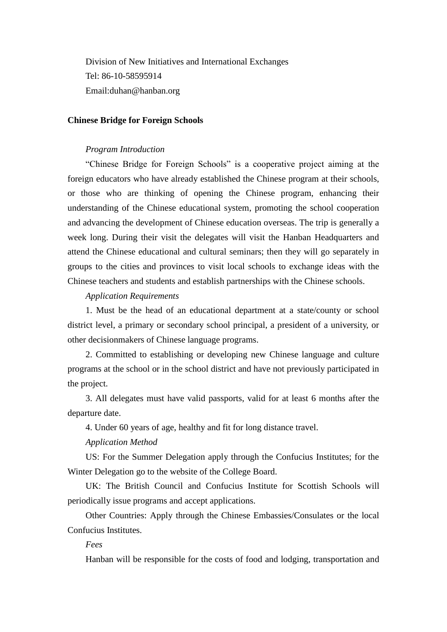Division of New Initiatives and International Exchanges Tel: 86-10-58595914 Email:duhan@hanban.org

## **Chinese Bridge for Foreign Schools**

#### *Program Introduction*

"Chinese Bridge for Foreign Schools" is a cooperative project aiming at the foreign educators who have already established the Chinese program at their schools, or those who are thinking of opening the Chinese program, enhancing their understanding of the Chinese educational system, promoting the school cooperation and advancing the development of Chinese education overseas. The trip is generally a week long. During their visit the delegates will visit the Hanban Headquarters and attend the Chinese educational and cultural seminars; then they will go separately in groups to the cities and provinces to visit local schools to exchange ideas with the Chinese teachers and students and establish partnerships with the Chinese schools.

#### *Application Requirements*

1. Must be the head of an educational department at a state/county or school district level, a primary or secondary school principal, a president of a university, or other decisionmakers of Chinese language programs.

2. Committed to establishing or developing new Chinese language and culture programs at the school or in the school district and have not previously participated in the project.

3. All delegates must have valid passports, valid for at least 6 months after the departure date.

4. Under 60 years of age, healthy and fit for long distance travel.

## *Application Method*

US: For the Summer Delegation apply through the Confucius Institutes; for the Winter Delegation go to the website of the College Board.

UK: The British Council and Confucius Institute for Scottish Schools will periodically issue programs and accept applications.

Other Countries: Apply through the Chinese Embassies/Consulates or the local Confucius Institutes.

## *Fees*

Hanban will be responsible for the costs of food and lodging, transportation and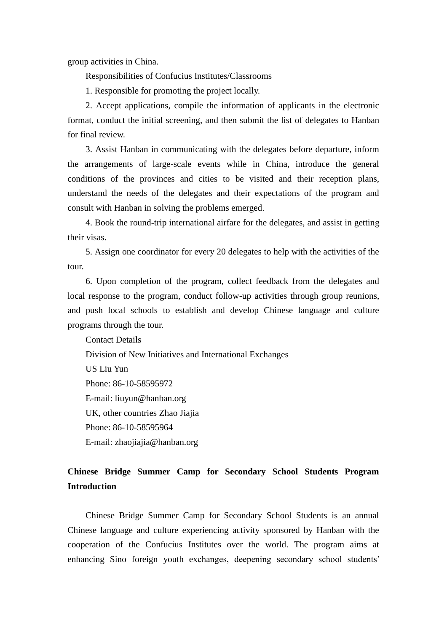group activities in China.

Responsibilities of Confucius Institutes/Classrooms

1. Responsible for promoting the project locally.

2. Accept applications, compile the information of applicants in the electronic format, conduct the initial screening, and then submit the list of delegates to Hanban for final review.

3. Assist Hanban in communicating with the delegates before departure, inform the arrangements of large-scale events while in China, introduce the general conditions of the provinces and cities to be visited and their reception plans, understand the needs of the delegates and their expectations of the program and consult with Hanban in solving the problems emerged.

4. Book the round-trip international airfare for the delegates, and assist in getting their visas.

5. Assign one coordinator for every 20 delegates to help with the activities of the tour.

6. Upon completion of the program, collect feedback from the delegates and local response to the program, conduct follow-up activities through group reunions, and push local schools to establish and develop Chinese language and culture programs through the tour.

Contact Details Division of New Initiatives and International Exchanges US Liu Yun Phone: 86-10-58595972 E-mail: liuyun@hanban.org UK, other countries Zhao Jiajia Phone: 86-10-58595964 E-mail: zhaojiajia@hanban.org

# **Chinese Bridge Summer Camp for Secondary School Students Program Introduction**

Chinese Bridge Summer Camp for Secondary School Students is an annual Chinese language and culture experiencing activity sponsored by Hanban with the cooperation of the Confucius Institutes over the world. The program aims at enhancing Sino foreign youth exchanges, deepening secondary school students'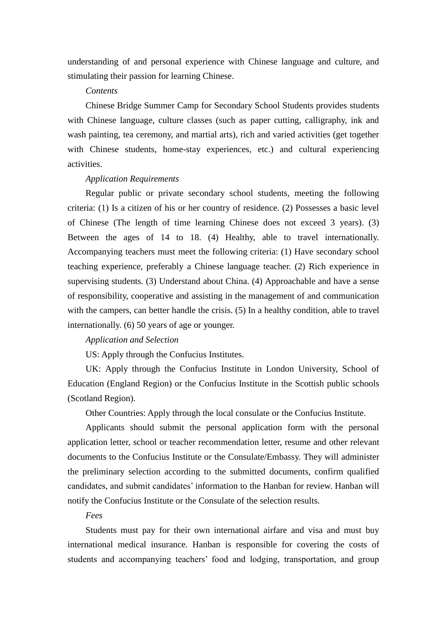understanding of and personal experience with Chinese language and culture, and stimulating their passion for learning Chinese.

## *Contents*

Chinese Bridge Summer Camp for Secondary School Students provides students with Chinese language, culture classes (such as paper cutting, calligraphy, ink and wash painting, tea ceremony, and martial arts), rich and varied activities (get together with Chinese students, home-stay experiences, etc.) and cultural experiencing activities.

### *Application Requirements*

Regular public or private secondary school students, meeting the following criteria: (1) Is a citizen of his or her country of residence. (2) Possesses a basic level of Chinese (The length of time learning Chinese does not exceed 3 years). (3) Between the ages of 14 to 18. (4) Healthy, able to travel internationally. Accompanying teachers must meet the following criteria: (1) Have secondary school teaching experience, preferably a Chinese language teacher. (2) Rich experience in supervising students. (3) Understand about China. (4) Approachable and have a sense of responsibility, cooperative and assisting in the management of and communication with the campers, can better handle the crisis. (5) In a healthy condition, able to travel internationally. (6) 50 years of age or younger.

## *Application and Selection*

US: Apply through the Confucius Institutes.

UK: Apply through the Confucius Institute in London University, School of Education (England Region) or the Confucius Institute in the Scottish public schools (Scotland Region).

Other Countries: Apply through the local consulate or the Confucius Institute.

Applicants should submit the personal application form with the personal application letter, school or teacher recommendation letter, resume and other relevant documents to the Confucius Institute or the Consulate/Embassy. They will administer the preliminary selection according to the submitted documents, confirm qualified candidates, and submit candidates' information to the Hanban for review. Hanban will notify the Confucius Institute or the Consulate of the selection results.

## *Fees*

Students must pay for their own international airfare and visa and must buy international medical insurance. Hanban is responsible for covering the costs of students and accompanying teachers' food and lodging, transportation, and group